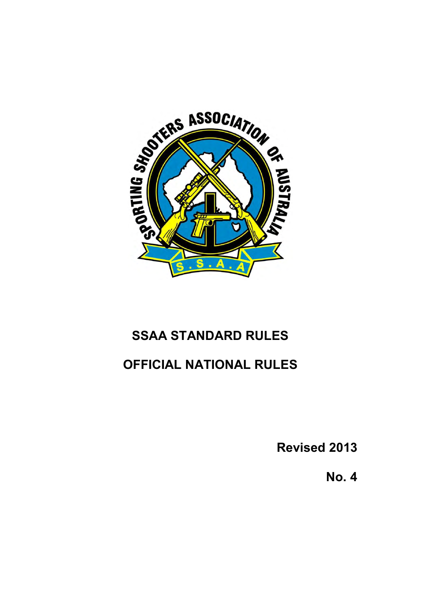

# **SSAA STANDARD RULES**

# **OFFICIAL NATIONAL RULES**

**Revised 2013** 

**No. 4**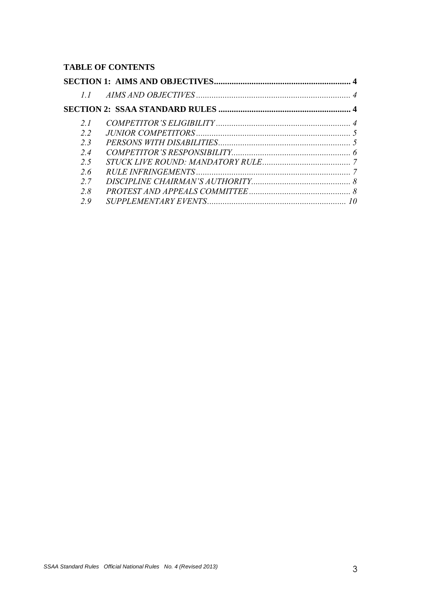# **TABLE OF CONTENTS**

| 11  |                             |  |
|-----|-----------------------------|--|
|     |                             |  |
| 21  |                             |  |
| 22  |                             |  |
| 23  |                             |  |
| 24  | COMPETITOR'S RESPONSIBILITY |  |
| 25  |                             |  |
| 2.6 |                             |  |
| 27  |                             |  |
| 28  |                             |  |
| 29  |                             |  |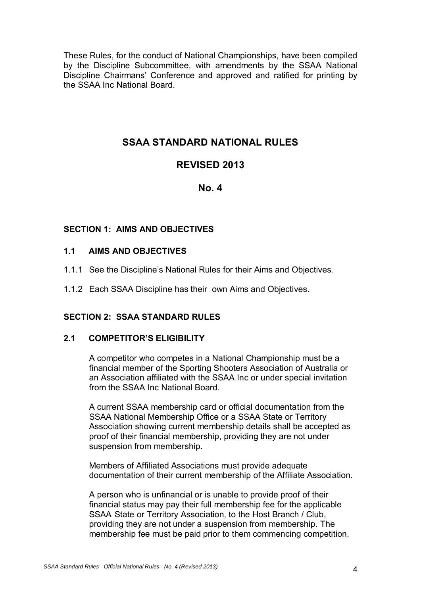These Rules, for the conduct of National Championships, have been compiled by the Discipline Subcommittee, with amendments by the SSAA National Discipline Chairmans' Conference and approved and ratified for printing by the SSAA Inc National Board.

# **SSAA STANDARD NATIONAL RULES**

# **REVISED 2013**

# **No. 4**

# <span id="page-3-0"></span>**SECTION 1: AIMS AND OBJECTIVES**

# <span id="page-3-1"></span>**1.1 AIMS AND OBJECTIVES**

- 1.1.1 See the Discipline's National Rules for their Aims and Objectives.
- 1.1.2 Each SSAA Discipline has their own Aims and Objectives.

# <span id="page-3-2"></span>**SECTION 2: SSAA STANDARD RULES**

# <span id="page-3-3"></span>**2.1 COMPETITOR'S ELIGIBILITY**

A competitor who competes in a National Championship must be a financial member of the Sporting Shooters Association of Australia or an Association affiliated with the SSAA Inc or under special invitation from the SSAA Inc National Board.

A current SSAA membership card or official documentation from the SSAA National Membership Office or a SSAA State or Territory Association showing current membership details shall be accepted as proof of their financial membership, providing they are not under suspension from membership.

Members of Affiliated Associations must provide adequate documentation of their current membership of the Affiliate Association.

A person who is unfinancial or is unable to provide proof of their financial status may pay their full membership fee for the applicable SSAA State or Territory Association, to the Host Branch / Club, providing they are not under a suspension from membership. The membership fee must be paid prior to them commencing competition.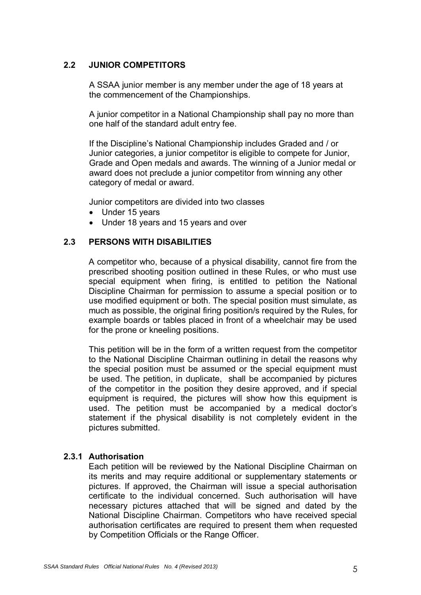# <span id="page-4-0"></span>**2.2 JUNIOR COMPETITORS**

 A SSAA junior member is any member under the age of 18 years at the commencement of the Championships.

A junior competitor in a National Championship shall pay no more than one half of the standard adult entry fee.

If the Discipline's National Championship includes Graded and / or Junior categories, a junior competitor is eligible to compete for Junior, Grade and Open medals and awards. The winning of a Junior medal or award does not preclude a junior competitor from winning any other category of medal or award.

Junior competitors are divided into two classes

- Under 15 years
- Under 18 years and 15 years and over

# <span id="page-4-1"></span>**2.3 PERSONS WITH DISABILITIES**

A competitor who, because of a physical disability, cannot fire from the prescribed shooting position outlined in these Rules, or who must use special equipment when firing, is entitled to petition the National Discipline Chairman for permission to assume a special position or to use modified equipment or both. The special position must simulate, as much as possible, the original firing position/s required by the Rules, for example boards or tables placed in front of a wheelchair may be used for the prone or kneeling positions.

This petition will be in the form of a written request from the competitor to the National Discipline Chairman outlining in detail the reasons why the special position must be assumed or the special equipment must be used. The petition, in duplicate, shall be accompanied by pictures of the competitor in the position they desire approved, and if special equipment is required, the pictures will show how this equipment is used. The petition must be accompanied by a medical doctor's statement if the physical disability is not completely evident in the pictures submitted.

# **2.3.1 Authorisation**

 Each petition will be reviewed by the National Discipline Chairman on its merits and may require additional or supplementary statements or pictures. If approved, the Chairman will issue a special authorisation certificate to the individual concerned. Such authorisation will have necessary pictures attached that will be signed and dated by the National Discipline Chairman. Competitors who have received special authorisation certificates are required to present them when requested by Competition Officials or the Range Officer.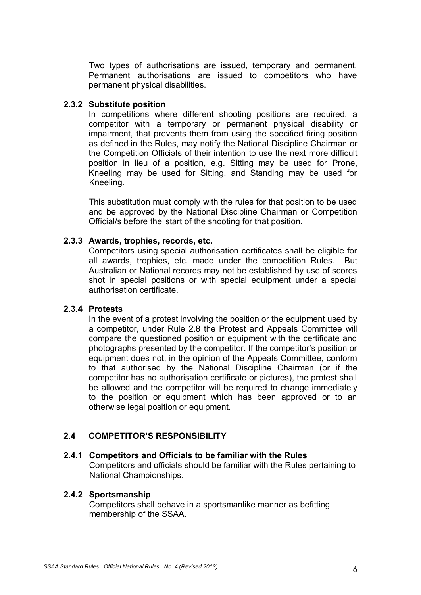Two types of authorisations are issued, temporary and permanent. Permanent authorisations are issued to competitors who have permanent physical disabilities.

#### **2.3.2 Substitute position**

 In competitions where different shooting positions are required, a competitor with a temporary or permanent physical disability or impairment, that prevents them from using the specified firing position as defined in the Rules, may notify the National Discipline Chairman or the Competition Officials of their intention to use the next more difficult position in lieu of a position, e.g. Sitting may be used for Prone, Kneeling may be used for Sitting, and Standing may be used for Kneeling.

 This substitution must comply with the rules for that position to be used and be approved by the National Discipline Chairman or Competition Official/s before the start of the shooting for that position.

#### **2.3.3 Awards, trophies, records, etc.**

 Competitors using special authorisation certificates shall be eligible for all awards, trophies, etc. made under the competition Rules. But Australian or National records may not be established by use of scores shot in special positions or with special equipment under a special authorisation certificate.

# **2.3.4 Protests**

 In the event of a protest involving the position or the equipment used by a competitor, under Rule 2.8 the Protest and Appeals Committee will compare the questioned position or equipment with the certificate and photographs presented by the competitor. If the competitor's position or equipment does not, in the opinion of the Appeals Committee, conform to that authorised by the National Discipline Chairman (or if the competitor has no authorisation certificate or pictures), the protest shall be allowed and the competitor will be required to change immediately to the position or equipment which has been approved or to an otherwise legal position or equipment.

# <span id="page-5-0"></span>**2.4 COMPETITOR'S RESPONSIBILITY**

# **2.4.1 Competitors and Officials to be familiar with the Rules**

 Competitors and officials should be familiar with the Rules pertaining to National Championships.

# **2.4.2 Sportsmanship**

 Competitors shall behave in a sportsmanlike manner as befitting membership of the SSAA.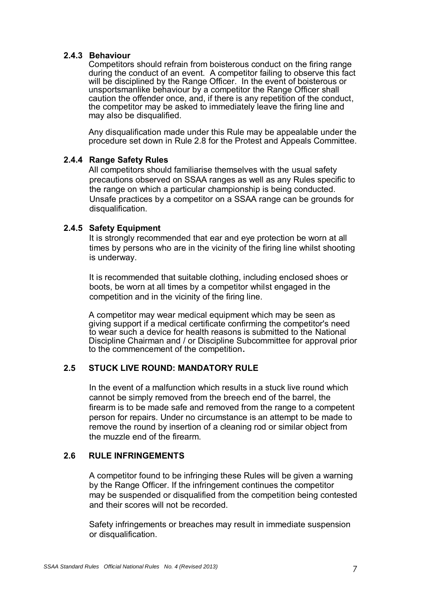# **2.4.3 Behaviour**

 Competitors should refrain from boisterous conduct on the firing range during the conduct of an event. A competitor failing to observe this fact will be disciplined by the Range Officer. In the event of boisterous or unsportsmanlike behaviour by a competitor the Range Officer shall caution the offender once, and, if there is any repetition of the conduct, the competitor may be asked to immediately leave the firing line and may also be disqualified.

 Any disqualification made under this Rule may be appealable under the procedure set down in Rule 2.8 for the Protest and Appeals Committee.

#### **2.4.4 Range Safety Rules**

 All competitors should familiarise themselves with the usual safety precautions observed on SSAA ranges as well as any Rules specific to the range on which a particular championship is being conducted. Unsafe practices by a competitor on a SSAA range can be grounds for disqualification.

#### **2.4.5 Safety Equipment**

 It is strongly recommended that ear and eye protection be worn at all times by persons who are in the vicinity of the firing line whilst shooting is underway.

 It is recommended that suitable clothing, including enclosed shoes or boots, be worn at all times by a competitor whilst engaged in the competition and in the vicinity of the firing line.

A competitor may wear medical equipment which may be seen as giving support if a medical certificate confirming the competitor's need to wear such a device for health reasons is submitted to the National Discipline Chairman and / or Discipline Subcommittee for approval prior to the commencement of the competition.

# <span id="page-6-0"></span>**2.5 STUCK LIVE ROUND: MANDATORY RULE**

 In the event of a malfunction which results in a stuck live round which cannot be simply removed from the breech end of the barrel, the firearm is to be made safe and removed from the range to a competent person for repairs. Under no circumstance is an attempt to be made to remove the round by insertion of a cleaning rod or similar object from the muzzle end of the firearm.

# <span id="page-6-1"></span>**2.6 RULE INFRINGEMENTS**

 A competitor found to be infringing these Rules will be given a warning by the Range Officer. If the infringement continues the competitor may be suspended or disqualified from the competition being contested and their scores will not be recorded.

 Safety infringements or breaches may result in immediate suspension or disqualification.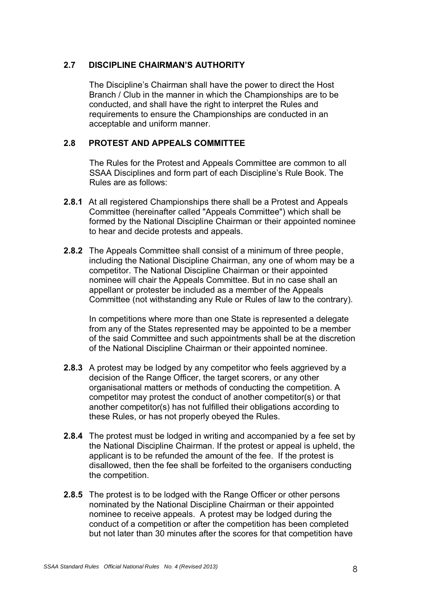# <span id="page-7-0"></span>**2.7 DISCIPLINE CHAIRMAN'S AUTHORITY**

 The Discipline's Chairman shall have the power to direct the Host Branch / Club in the manner in which the Championships are to be conducted, and shall have the right to interpret the Rules and requirements to ensure the Championships are conducted in an acceptable and uniform manner.

# <span id="page-7-1"></span>**2.8 PROTEST AND APPEALS COMMITTEE**

The Rules for the Protest and Appeals Committee are common to all SSAA Disciplines and form part of each Discipline's Rule Book. The Rules are as follows:

- **2.8.1** At all registered Championships there shall be a Protest and Appeals Committee (hereinafter called "Appeals Committee") which shall be formed by the National Discipline Chairman or their appointed nominee to hear and decide protests and appeals.
- **2.8.2** The Appeals Committee shall consist of a minimum of three people, including the National Discipline Chairman, any one of whom may be a competitor. The National Discipline Chairman or their appointed nominee will chair the Appeals Committee. But in no case shall an appellant or protester be included as a member of the Appeals Committee (not withstanding any Rule or Rules of law to the contrary).

In competitions where more than one State is represented a delegate from any of the States represented may be appointed to be a member of the said Committee and such appointments shall be at the discretion of the National Discipline Chairman or their appointed nominee.

- **2.8.3** A protest may be lodged by any competitor who feels aggrieved by a decision of the Range Officer, the target scorers, or any other organisational matters or methods of conducting the competition. A competitor may protest the conduct of another competitor(s) or that another competitor(s) has not fulfilled their obligations according to these Rules, or has not properly obeyed the Rules.
- **2.8.4** The protest must be lodged in writing and accompanied by a fee set by the National Discipline Chairman. If the protest or appeal is upheld, the applicant is to be refunded the amount of the fee. If the protest is disallowed, then the fee shall be forfeited to the organisers conducting the competition.
- **2.8.5** The protest is to be lodged with the Range Officer or other persons nominated by the National Discipline Chairman or their appointed nominee to receive appeals. A protest may be lodged during the conduct of a competition or after the competition has been completed but not later than 30 minutes after the scores for that competition have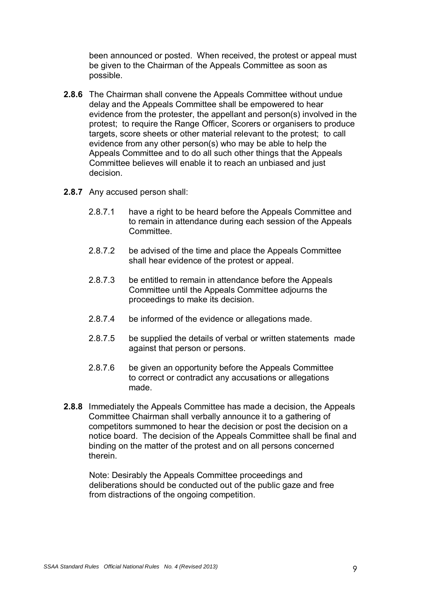been announced or posted. When received, the protest or appeal must be given to the Chairman of the Appeals Committee as soon as possible.

- **2.8.6** The Chairman shall convene the Appeals Committee without undue delay and the Appeals Committee shall be empowered to hear evidence from the protester, the appellant and person(s) involved in the protest; to require the Range Officer, Scorers or organisers to produce targets, score sheets or other material relevant to the protest; to call evidence from any other person(s) who may be able to help the Appeals Committee and to do all such other things that the Appeals Committee believes will enable it to reach an unbiased and just decision.
- **2.8.7** Any accused person shall:
	- 2.8.7.1 have a right to be heard before the Appeals Committee and to remain in attendance during each session of the Appeals **Committee.**
	- 2.8.7.2 be advised of the time and place the Appeals Committee shall hear evidence of the protest or appeal.
	- 2.8.7.3 be entitled to remain in attendance before the Appeals Committee until the Appeals Committee adjourns the proceedings to make its decision.
	- 2.8.7.4 be informed of the evidence or allegations made.
	- 2.8.7.5 be supplied the details of verbal or written statements made against that person or persons.
	- 2.8.7.6 be given an opportunity before the Appeals Committee to correct or contradict any accusations or allegations made.
- **2.8.8** Immediately the Appeals Committee has made a decision, the Appeals Committee Chairman shall verbally announce it to a gathering of competitors summoned to hear the decision or post the decision on a notice board. The decision of the Appeals Committee shall be final and binding on the matter of the protest and on all persons concerned therein.

 Note: Desirably the Appeals Committee proceedings and deliberations should be conducted out of the public gaze and free from distractions of the ongoing competition.